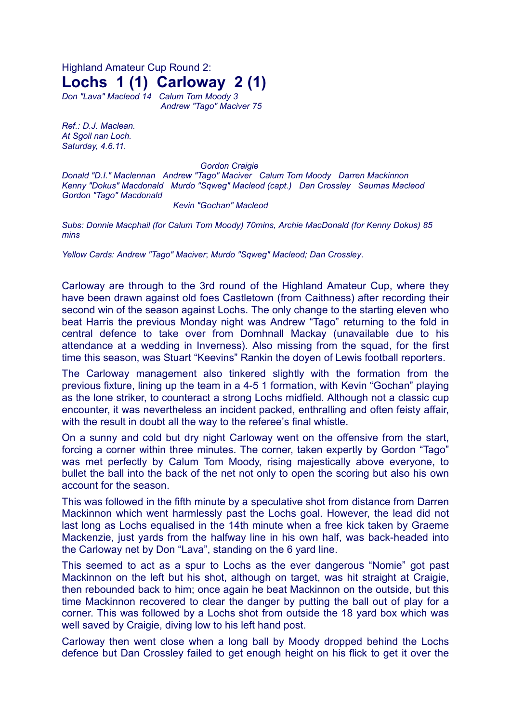Highland Amateur Cup Round 2: **Lochs 1 (1) Carloway 2 (1)**

*Don "Lava" Macleod 14 Calum Tom Moody 3 Andrew "Tago" Maciver 75*

*Ref.: D.J. Maclean. At Sgoil nan Loch. Saturday, 4.6.11.*

*Gordon Craigie*

*Donald "D.I." Maclennan Andrew "Tago" Maciver Calum Tom Moody Darren Mackinnon Kenny "Dokus" Macdonald Murdo "Sqweg" Macleod (capt.) Dan Crossley Seumas Macleod Gordon "Tago" Macdonald*

*Kevin "Gochan" Macleod*

*Subs: Donnie Macphail (for Calum Tom Moody) 70mins, Archie MacDonald (for Kenny Dokus) 85 mins*

*Yellow Cards: Andrew "Tago" Maciver*; *Murdo "Sqweg" Macleod; Dan Crossley*.

Carloway are through to the 3rd round of the Highland Amateur Cup, where they have been drawn against old foes Castletown (from Caithness) after recording their second win of the season against Lochs. The only change to the starting eleven who beat Harris the previous Monday night was Andrew "Tago" returning to the fold in central defence to take over from Domhnall Mackay (unavailable due to his attendance at a wedding in Inverness). Also missing from the squad, for the first time this season, was Stuart "Keevins" Rankin the doyen of Lewis football reporters.

The Carloway management also tinkered slightly with the formation from the previous fixture, lining up the team in a 4-5 1 formation, with Kevin "Gochan" playing as the lone striker, to counteract a strong Lochs midfield. Although not a classic cup encounter, it was nevertheless an incident packed, enthralling and often feisty affair, with the result in doubt all the way to the referee's final whistle.

On a sunny and cold but dry night Carloway went on the offensive from the start, forcing a corner within three minutes. The corner, taken expertly by Gordon "Tago" was met perfectly by Calum Tom Moody, rising majestically above everyone, to bullet the ball into the back of the net not only to open the scoring but also his own account for the season.

This was followed in the fifth minute by a speculative shot from distance from Darren Mackinnon which went harmlessly past the Lochs goal. However, the lead did not last long as Lochs equalised in the 14th minute when a free kick taken by Graeme Mackenzie, just yards from the halfway line in his own half, was back-headed into the Carloway net by Don "Lava", standing on the 6 yard line.

This seemed to act as a spur to Lochs as the ever dangerous "Nomie" got past Mackinnon on the left but his shot, although on target, was hit straight at Craigie, then rebounded back to him; once again he beat Mackinnon on the outside, but this time Mackinnon recovered to clear the danger by putting the ball out of play for a corner. This was followed by a Lochs shot from outside the 18 yard box which was well saved by Craigie, diving low to his left hand post.

Carloway then went close when a long ball by Moody dropped behind the Lochs defence but Dan Crossley failed to get enough height on his flick to get it over the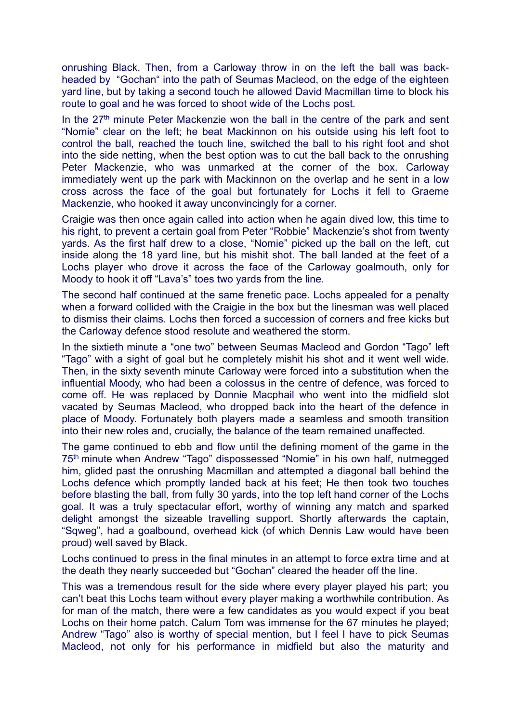onrushing Black. Then, from a Carloway throw in on the left the ball was backheaded by "Gochan" into the path of Seumas Macleod, on the edge of the eighteen yard line, but by taking a second touch he allowed David Macmillan time to block his route to goal and he was forced to shoot wide of the Lochs post.

In the  $27<sup>th</sup>$  minute Peter Mackenzie won the ball in the centre of the park and sent "Nomie" clear on the left; he beat Mackinnon on his outside using his left foot to control the ball, reached the touch line, switched the ball to his right foot and shot into the side netting, when the best option was to cut the ball back to the onrushing Peter Mackenzie, who was unmarked at the corner of the box. Carloway immediately went up the park with Mackinnon on the overlap and he sent in a low cross across the face of the goal but fortunately for Lochs it fell to Graeme Mackenzie, who hooked it away unconvincingly for a corner.

Craigie was then once again called into action when he again dived low, this time to his right, to prevent a certain goal from Peter "Robbie" Mackenzie's shot from twenty yards. As the first half drew to a close, "Nomie" picked up the ball on the left, cut inside along the 18 yard line, but his mishit shot. The ball landed at the feet of a Lochs player who drove it across the face of the Carloway goalmouth, only for Moody to hook it off "Lava's" toes two yards from the line.

The second half continued at the same frenetic pace. Lochs appealed for a penalty when a forward collided with the Craigie in the box but the linesman was well placed to dismiss their claims. Lochs then forced a succession of corners and free kicks but the Carloway defence stood resolute and weathered the storm.

In the sixtieth minute a "one two" between Seumas Macleod and Gordon "Tago" left "Tago" with a sight of goal but he completely mishit his shot and it went well wide. Then, in the sixty seventh minute Carloway were forced into a substitution when the influential Moody, who had been a colossus in the centre of defence, was forced to come off. He was replaced by Donnie Macphail who went into the midfield slot vacated by Seumas Macleod, who dropped back into the heart of the defence in place of Moody. Fortunately both players made a seamless and smooth transition into their new roles and, crucially, the balance of the team remained unaffected.

The game continued to ebb and flow until the defining moment of the game in the 75th minute when Andrew "Tago" dispossessed "Nomie" in his own half, nutmegged him, glided past the onrushing Macmillan and attempted a diagonal ball behind the Lochs defence which promptly landed back at his feet; He then took two touches before blasting the ball, from fully 30 yards, into the top left hand corner of the Lochs goal. It was a truly spectacular effort, worthy of winning any match and sparked delight amongst the sizeable travelling support. Shortly afterwards the captain, "Sqweg", had a goalbound, overhead kick (of which Dennis Law would have been proud) well saved by Black.

Lochs continued to press in the final minutes in an attempt to force extra time and at the death they nearly succeeded but "Gochan" cleared the header off the line.

This was a tremendous result for the side where every player played his part; you can't beat this Lochs team without every player making a worthwhile contribution. As for man of the match, there were a few candidates as you would expect if you beat Lochs on their home patch. Calum Tom was immense for the 67 minutes he played; Andrew "Tago" also is worthy of special mention, but I feel I have to pick Seumas Macleod, not only for his performance in midfield but also the maturity and